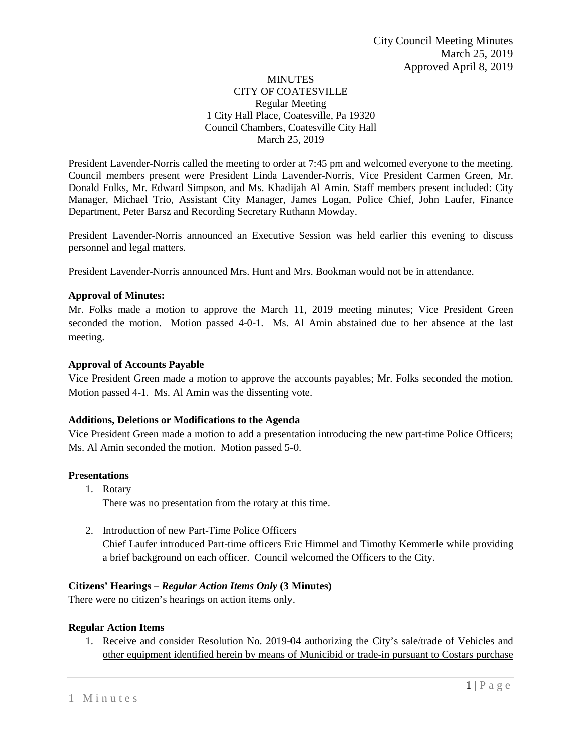# **MINUTES** CITY OF COATESVILLE Regular Meeting 1 City Hall Place, Coatesville, Pa 19320 Council Chambers, Coatesville City Hall March 25, 2019

President Lavender-Norris called the meeting to order at 7:45 pm and welcomed everyone to the meeting. Council members present were President Linda Lavender-Norris, Vice President Carmen Green, Mr. Donald Folks, Mr. Edward Simpson, and Ms. Khadijah Al Amin. Staff members present included: City Manager, Michael Trio, Assistant City Manager, James Logan, Police Chief, John Laufer, Finance Department, Peter Barsz and Recording Secretary Ruthann Mowday.

President Lavender-Norris announced an Executive Session was held earlier this evening to discuss personnel and legal matters.

President Lavender-Norris announced Mrs. Hunt and Mrs. Bookman would not be in attendance.

# **Approval of Minutes:**

Mr. Folks made a motion to approve the March 11, 2019 meeting minutes; Vice President Green seconded the motion. Motion passed 4-0-1. Ms. Al Amin abstained due to her absence at the last meeting.

# **Approval of Accounts Payable**

Vice President Green made a motion to approve the accounts payables; Mr. Folks seconded the motion. Motion passed 4-1. Ms. Al Amin was the dissenting vote.

# **Additions, Deletions or Modifications to the Agenda**

Vice President Green made a motion to add a presentation introducing the new part-time Police Officers; Ms. Al Amin seconded the motion. Motion passed 5-0.

# **Presentations**

1. Rotary

There was no presentation from the rotary at this time.

2. Introduction of new Part-Time Police Officers Chief Laufer introduced Part-time officers Eric Himmel and Timothy Kemmerle while providing a brief background on each officer. Council welcomed the Officers to the City.

# **Citizens' Hearings –** *Regular Action Items Only* **(3 Minutes)**

There were no citizen's hearings on action items only.

# **Regular Action Items**

1. Receive and consider Resolution No. 2019-04 authorizing the City's sale/trade of Vehicles and other equipment identified herein by means of Municibid or trade-in pursuant to Costars purchase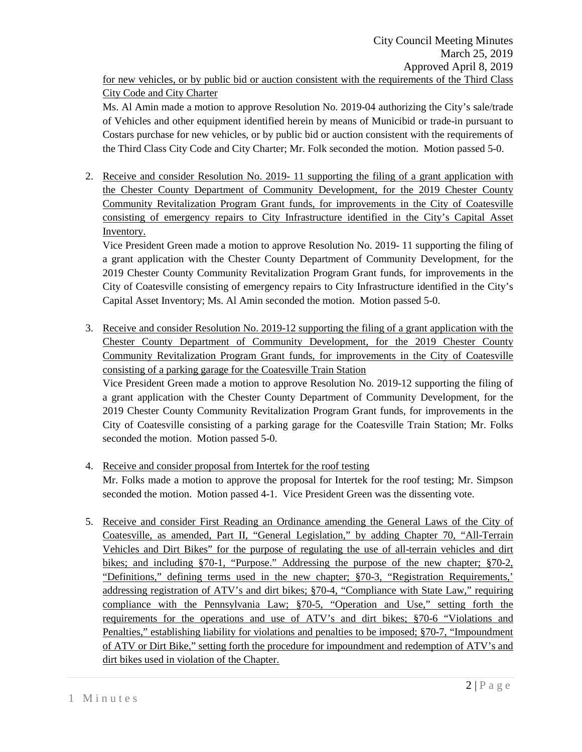City Code and City Charter

Ms. Al Amin made a motion to approve Resolution No. 2019-04 authorizing the City's sale/trade of Vehicles and other equipment identified herein by means of Municibid or trade-in pursuant to Costars purchase for new vehicles, or by public bid or auction consistent with the requirements of the Third Class City Code and City Charter; Mr. Folk seconded the motion. Motion passed 5-0.

2. Receive and consider Resolution No. 2019- 11 supporting the filing of a grant application with the Chester County Department of Community Development, for the 2019 Chester County Community Revitalization Program Grant funds, for improvements in the City of Coatesville consisting of emergency repairs to City Infrastructure identified in the City's Capital Asset Inventory.

Vice President Green made a motion to approve Resolution No. 2019- 11 supporting the filing of a grant application with the Chester County Department of Community Development, for the 2019 Chester County Community Revitalization Program Grant funds, for improvements in the City of Coatesville consisting of emergency repairs to City Infrastructure identified in the City's Capital Asset Inventory; Ms. Al Amin seconded the motion. Motion passed 5-0.

3. Receive and consider Resolution No. 2019-12 supporting the filing of a grant application with the Chester County Department of Community Development, for the 2019 Chester County Community Revitalization Program Grant funds, for improvements in the City of Coatesville consisting of a parking garage for the Coatesville Train Station

Vice President Green made a motion to approve Resolution No. 2019-12 supporting the filing of a grant application with the Chester County Department of Community Development, for the 2019 Chester County Community Revitalization Program Grant funds, for improvements in the City of Coatesville consisting of a parking garage for the Coatesville Train Station; Mr. Folks seconded the motion. Motion passed 5-0.

- 4. Receive and consider proposal from Intertek for the roof testing Mr. Folks made a motion to approve the proposal for Intertek for the roof testing; Mr. Simpson seconded the motion. Motion passed 4-1. Vice President Green was the dissenting vote.
- 5. Receive and consider First Reading an Ordinance amending the General Laws of the City of Coatesville, as amended, Part II, "General Legislation," by adding Chapter 70, "All-Terrain Vehicles and Dirt Bikes" for the purpose of regulating the use of all-terrain vehicles and dirt bikes; and including §70-1, "Purpose." Addressing the purpose of the new chapter; §70-2, "Definitions," defining terms used in the new chapter; §70-3, "Registration Requirements,' addressing registration of ATV's and dirt bikes; §70-4, "Compliance with State Law," requiring compliance with the Pennsylvania Law; §70-5, "Operation and Use," setting forth the requirements for the operations and use of ATV's and dirt bikes; §70-6 "Violations and Penalties," establishing liability for violations and penalties to be imposed; §70-7, "Impoundment of ATV or Dirt Bike," setting forth the procedure for impoundment and redemption of ATV's and dirt bikes used in violation of the Chapter.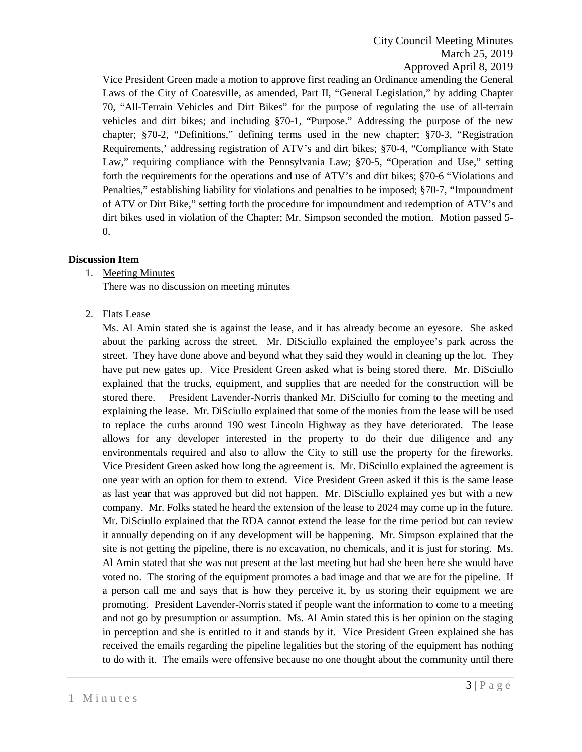# City Council Meeting Minutes March 25, 2019 Approved April 8, 2019

Vice President Green made a motion to approve first reading an Ordinance amending the General Laws of the City of Coatesville, as amended, Part II, "General Legislation," by adding Chapter 70, "All-Terrain Vehicles and Dirt Bikes" for the purpose of regulating the use of all-terrain vehicles and dirt bikes; and including §70-1, "Purpose." Addressing the purpose of the new chapter; §70-2, "Definitions," defining terms used in the new chapter; §70-3, "Registration Requirements,' addressing registration of ATV's and dirt bikes; §70-4, "Compliance with State Law," requiring compliance with the Pennsylvania Law; §70-5, "Operation and Use," setting forth the requirements for the operations and use of ATV's and dirt bikes; §70-6 "Violations and Penalties," establishing liability for violations and penalties to be imposed; §70-7, "Impoundment of ATV or Dirt Bike," setting forth the procedure for impoundment and redemption of ATV's and dirt bikes used in violation of the Chapter; Mr. Simpson seconded the motion. Motion passed 5- 0.

# **Discussion Item**

1. Meeting Minutes

There was no discussion on meeting minutes

2. Flats Lease

Ms. Al Amin stated she is against the lease, and it has already become an eyesore. She asked about the parking across the street. Mr. DiSciullo explained the employee's park across the street. They have done above and beyond what they said they would in cleaning up the lot. They have put new gates up. Vice President Green asked what is being stored there. Mr. DiSciullo explained that the trucks, equipment, and supplies that are needed for the construction will be stored there. President Lavender-Norris thanked Mr. DiSciullo for coming to the meeting and explaining the lease. Mr. DiSciullo explained that some of the monies from the lease will be used to replace the curbs around 190 west Lincoln Highway as they have deteriorated. The lease allows for any developer interested in the property to do their due diligence and any environmentals required and also to allow the City to still use the property for the fireworks. Vice President Green asked how long the agreement is. Mr. DiSciullo explained the agreement is one year with an option for them to extend. Vice President Green asked if this is the same lease as last year that was approved but did not happen. Mr. DiSciullo explained yes but with a new company. Mr. Folks stated he heard the extension of the lease to 2024 may come up in the future. Mr. DiSciullo explained that the RDA cannot extend the lease for the time period but can review it annually depending on if any development will be happening. Mr. Simpson explained that the site is not getting the pipeline, there is no excavation, no chemicals, and it is just for storing. Ms. Al Amin stated that she was not present at the last meeting but had she been here she would have voted no. The storing of the equipment promotes a bad image and that we are for the pipeline. If a person call me and says that is how they perceive it, by us storing their equipment we are promoting. President Lavender-Norris stated if people want the information to come to a meeting and not go by presumption or assumption. Ms. Al Amin stated this is her opinion on the staging in perception and she is entitled to it and stands by it. Vice President Green explained she has received the emails regarding the pipeline legalities but the storing of the equipment has nothing to do with it. The emails were offensive because no one thought about the community until there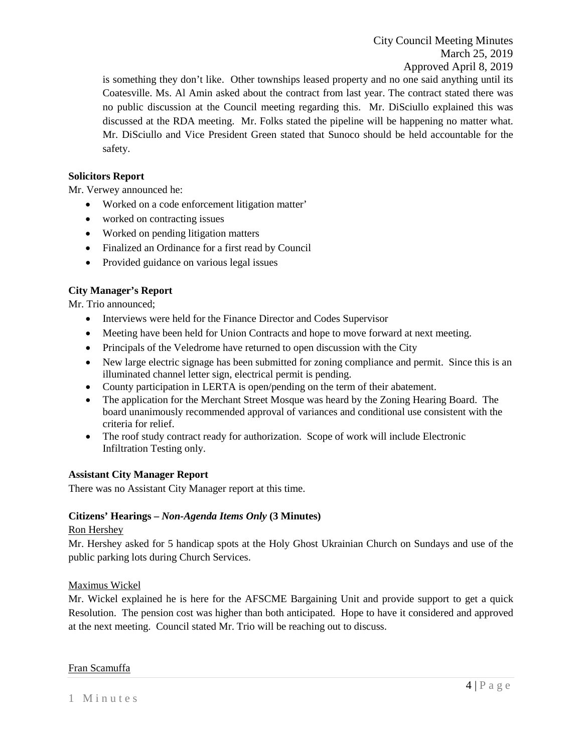City Council Meeting Minutes March 25, 2019 Approved April 8, 2019

is something they don't like. Other townships leased property and no one said anything until its Coatesville. Ms. Al Amin asked about the contract from last year. The contract stated there was no public discussion at the Council meeting regarding this. Mr. DiSciullo explained this was discussed at the RDA meeting. Mr. Folks stated the pipeline will be happening no matter what. Mr. DiSciullo and Vice President Green stated that Sunoco should be held accountable for the safety.

# **Solicitors Report**

Mr. Verwey announced he:

- Worked on a code enforcement litigation matter'
- worked on contracting issues
- Worked on pending litigation matters
- Finalized an Ordinance for a first read by Council
- Provided guidance on various legal issues

# **City Manager's Report**

Mr. Trio announced;

- Interviews were held for the Finance Director and Codes Supervisor
- Meeting have been held for Union Contracts and hope to move forward at next meeting.
- Principals of the Veledrome have returned to open discussion with the City
- New large electric signage has been submitted for zoning compliance and permit. Since this is an illuminated channel letter sign, electrical permit is pending.
- County participation in LERTA is open/pending on the term of their abatement.
- The application for the Merchant Street Mosque was heard by the Zoning Hearing Board. The board unanimously recommended approval of variances and conditional use consistent with the criteria for relief.
- The roof study contract ready for authorization. Scope of work will include Electronic Infiltration Testing only.

# **Assistant City Manager Report**

There was no Assistant City Manager report at this time.

# **Citizens' Hearings –** *Non-Agenda Items Only* **(3 Minutes)**

#### Ron Hershey

Mr. Hershey asked for 5 handicap spots at the Holy Ghost Ukrainian Church on Sundays and use of the public parking lots during Church Services.

# Maximus Wickel

Mr. Wickel explained he is here for the AFSCME Bargaining Unit and provide support to get a quick Resolution. The pension cost was higher than both anticipated. Hope to have it considered and approved at the next meeting. Council stated Mr. Trio will be reaching out to discuss.

Fran Scamuffa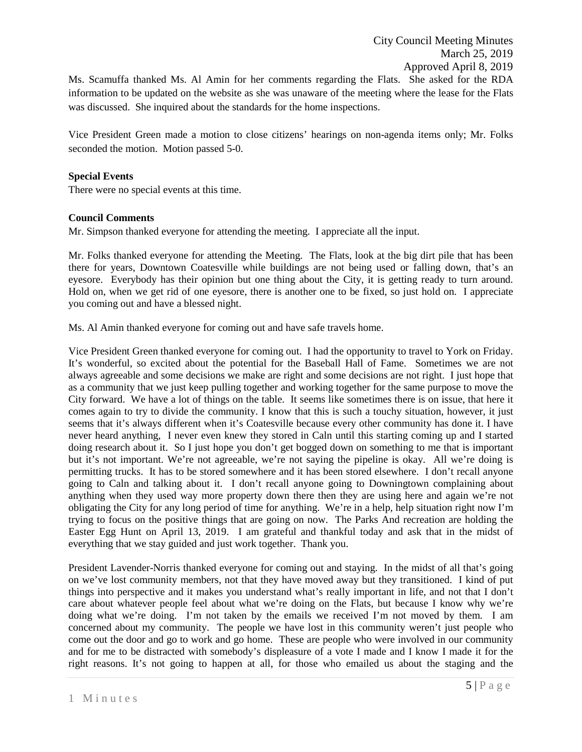Ms. Scamuffa thanked Ms. Al Amin for her comments regarding the Flats. She asked for the RDA information to be updated on the website as she was unaware of the meeting where the lease for the Flats was discussed. She inquired about the standards for the home inspections.

Vice President Green made a motion to close citizens' hearings on non-agenda items only; Mr. Folks seconded the motion. Motion passed 5-0.

#### **Special Events**

There were no special events at this time.

#### **Council Comments**

Mr. Simpson thanked everyone for attending the meeting. I appreciate all the input.

Mr. Folks thanked everyone for attending the Meeting. The Flats, look at the big dirt pile that has been there for years, Downtown Coatesville while buildings are not being used or falling down, that's an eyesore. Everybody has their opinion but one thing about the City, it is getting ready to turn around. Hold on, when we get rid of one eyesore, there is another one to be fixed, so just hold on. I appreciate you coming out and have a blessed night.

Ms. Al Amin thanked everyone for coming out and have safe travels home.

Vice President Green thanked everyone for coming out. I had the opportunity to travel to York on Friday. It's wonderful, so excited about the potential for the Baseball Hall of Fame. Sometimes we are not always agreeable and some decisions we make are right and some decisions are not right. I just hope that as a community that we just keep pulling together and working together for the same purpose to move the City forward. We have a lot of things on the table. It seems like sometimes there is on issue, that here it comes again to try to divide the community. I know that this is such a touchy situation, however, it just seems that it's always different when it's Coatesville because every other community has done it. I have never heard anything, I never even knew they stored in Caln until this starting coming up and I started doing research about it. So I just hope you don't get bogged down on something to me that is important but it's not important. We're not agreeable, we're not saying the pipeline is okay. All we're doing is permitting trucks. It has to be stored somewhere and it has been stored elsewhere. I don't recall anyone going to Caln and talking about it. I don't recall anyone going to Downingtown complaining about anything when they used way more property down there then they are using here and again we're not obligating the City for any long period of time for anything. We're in a help, help situation right now I'm trying to focus on the positive things that are going on now. The Parks And recreation are holding the Easter Egg Hunt on April 13, 2019. I am grateful and thankful today and ask that in the midst of everything that we stay guided and just work together. Thank you.

President Lavender-Norris thanked everyone for coming out and staying. In the midst of all that's going on we've lost community members, not that they have moved away but they transitioned. I kind of put things into perspective and it makes you understand what's really important in life, and not that I don't care about whatever people feel about what we're doing on the Flats, but because I know why we're doing what we're doing. I'm not taken by the emails we received I'm not moved by them. I am concerned about my community. The people we have lost in this community weren't just people who come out the door and go to work and go home. These are people who were involved in our community and for me to be distracted with somebody's displeasure of a vote I made and I know I made it for the right reasons. It's not going to happen at all, for those who emailed us about the staging and the